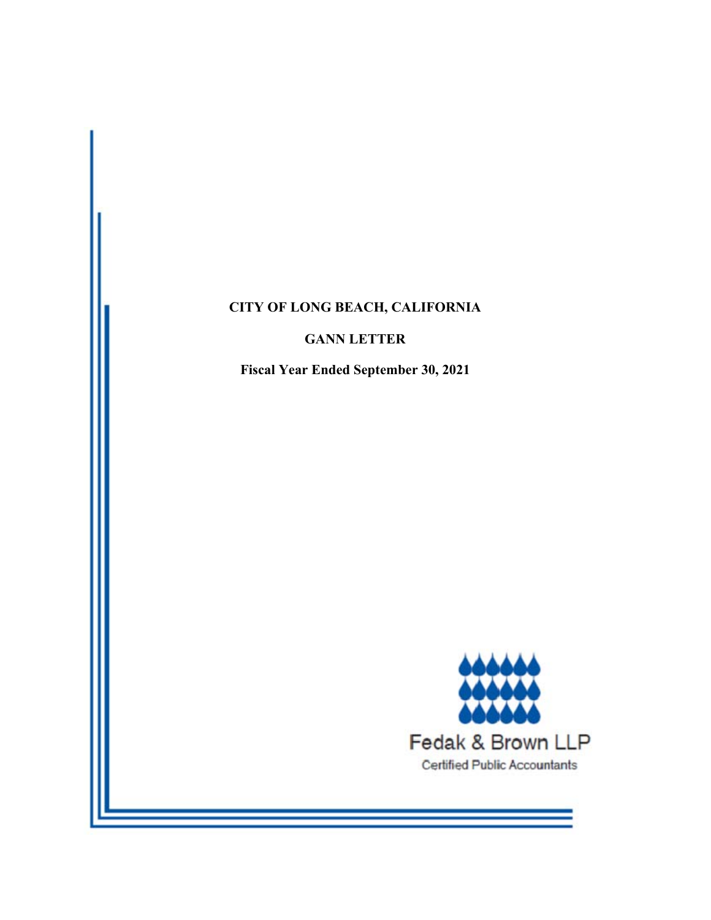# **CITY OF LONG BEACH, CALIFORNIA**

# **GANN LETTER**

**Fiscal Year Ended September 30, 2021** 

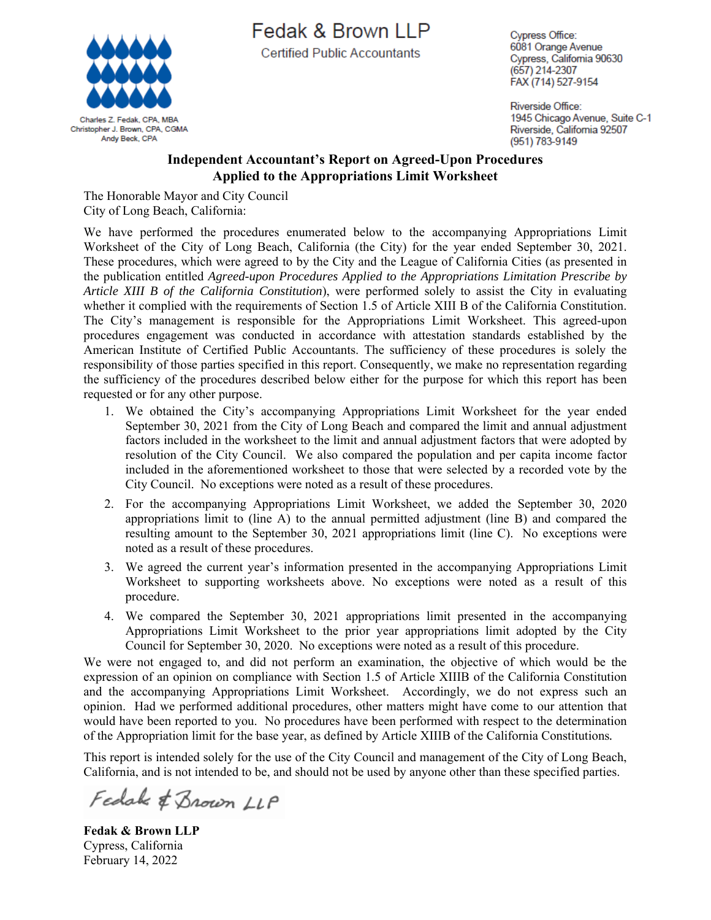

Fedak & Brown LLP

**Certified Public Accountants** 

**Cypress Office:** 6081 Orange Avenue Cypress, California 90630 (657) 214-2307 FAX (714) 527-9154

Riverside Office: 1945 Chicago Avenue, Suite C-1 Riverside, California 92507 (951) 783-9149

#### **Independent Accountant's Report on Agreed-Upon Procedures Applied to the Appropriations Limit Worksheet**

The Honorable Mayor and City Council City of Long Beach, California:

We have performed the procedures enumerated below to the accompanying Appropriations Limit Worksheet of the City of Long Beach, California (the City) for the year ended September 30, 2021. These procedures, which were agreed to by the City and the League of California Cities (as presented in the publication entitled *Agreed-upon Procedures Applied to the Appropriations Limitation Prescribe by Article XIII B of the California Constitution*), were performed solely to assist the City in evaluating whether it complied with the requirements of Section 1.5 of Article XIII B of the California Constitution. The City's management is responsible for the Appropriations Limit Worksheet. This agreed-upon procedures engagement was conducted in accordance with attestation standards established by the American Institute of Certified Public Accountants. The sufficiency of these procedures is solely the responsibility of those parties specified in this report. Consequently, we make no representation regarding the sufficiency of the procedures described below either for the purpose for which this report has been requested or for any other purpose.

- 1. We obtained the City's accompanying Appropriations Limit Worksheet for the year ended September 30, 2021 from the City of Long Beach and compared the limit and annual adjustment factors included in the worksheet to the limit and annual adjustment factors that were adopted by resolution of the City Council. We also compared the population and per capita income factor included in the aforementioned worksheet to those that were selected by a recorded vote by the City Council. No exceptions were noted as a result of these procedures.
- 2. For the accompanying Appropriations Limit Worksheet, we added the September 30, 2020 appropriations limit to (line A) to the annual permitted adjustment (line B) and compared the resulting amount to the September 30, 2021 appropriations limit (line C). No exceptions were noted as a result of these procedures.
- 3. We agreed the current year's information presented in the accompanying Appropriations Limit Worksheet to supporting worksheets above. No exceptions were noted as a result of this procedure.
- 4. We compared the September 30, 2021 appropriations limit presented in the accompanying Appropriations Limit Worksheet to the prior year appropriations limit adopted by the City Council for September 30, 2020. No exceptions were noted as a result of this procedure.

We were not engaged to, and did not perform an examination, the objective of which would be the expression of an opinion on compliance with Section 1.5 of Article XIIIB of the California Constitution and the accompanying Appropriations Limit Worksheet. Accordingly, we do not express such an opinion. Had we performed additional procedures, other matters might have come to our attention that would have been reported to you. No procedures have been performed with respect to the determination of the Appropriation limit for the base year, as defined by Article XIIIB of the California Constitutions*.*

This report is intended solely for the use of the City Council and management of the City of Long Beach, California, and is not intended to be, and should not be used by anyone other than these specified parties.

Fedals & Brown LLP

**Fedak & Brown LLP**  Cypress, California February 14, 2022